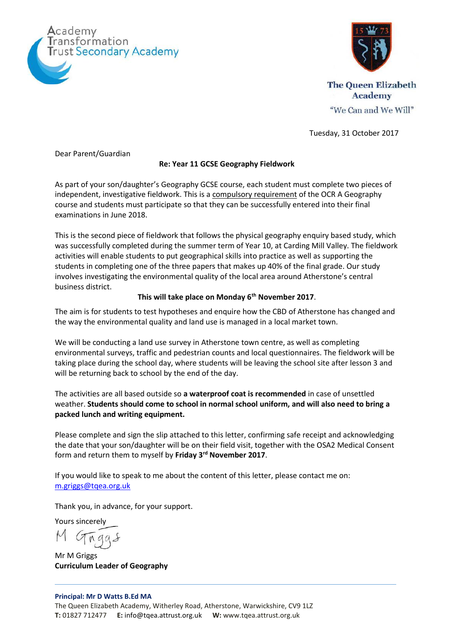



**The Queen Elizabeth Academy** "We Can and We Will"

Tuesday, 31 October 2017

Dear Parent/Guardian

# **Re: Year 11 GCSE Geography Fieldwork**

As part of your son/daughter's Geography GCSE course, each student must complete two pieces of independent, investigative fieldwork. This is a compulsory requirement of the OCR A Geography course and students must participate so that they can be successfully entered into their final examinations in June 2018.

This is the second piece of fieldwork that follows the physical geography enquiry based study, which was successfully completed during the summer term of Year 10, at Carding Mill Valley. The fieldwork activities will enable students to put geographical skills into practice as well as supporting the students in completing one of the three papers that makes up 40% of the final grade. Our study involves investigating the environmental quality of the local area around Atherstone's central business district.

# **This will take place on Monday 6th November 2017**.

The aim is for students to test hypotheses and enquire how the CBD of Atherstone has changed and the way the environmental quality and land use is managed in a local market town.

We will be conducting a land use survey in Atherstone town centre, as well as completing environmental surveys, traffic and pedestrian counts and local questionnaires. The fieldwork will be taking place during the school day, where students will be leaving the school site after lesson 3 and will be returning back to school by the end of the day.

The activities are all based outside so **a waterproof coat is recommended** in case of unsettled weather. **Students should come to school in normal school uniform, and will also need to bring a packed lunch and writing equipment.**

Please complete and sign the slip attached to this letter, confirming safe receipt and acknowledging the date that your son/daughter will be on their field visit, together with the OSA2 Medical Consent form and return them to myself by **Friday 3rd November 2017**.

If you would like to speak to me about the content of this letter, please contact me on: [m.griggs@tqea.org.uk](mailto:m.griggs@tqea.org.uk)

Thank you, in advance, for your support.

Yours sincerely

Mr M Griggs **Curriculum Leader of Geography**